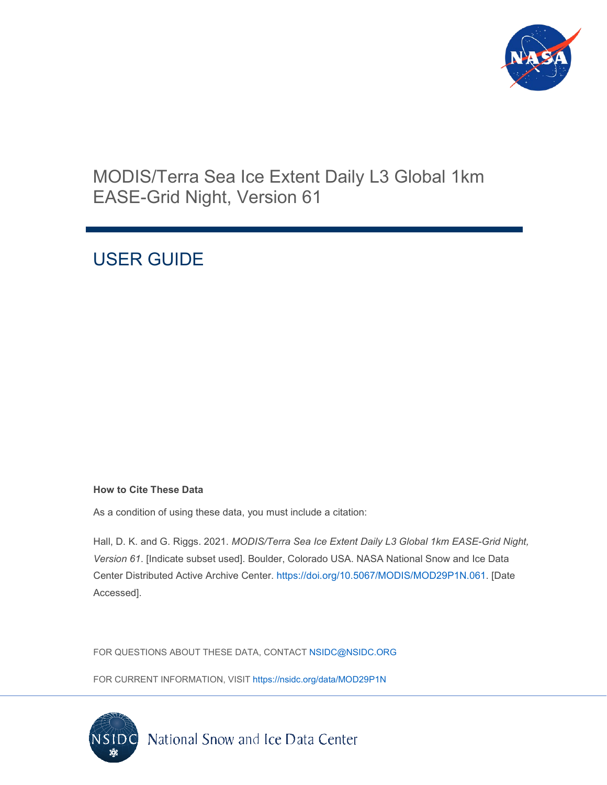

## MODIS/Terra Sea Ice Extent Daily L3 Global 1km EASE-Grid Night, Version 61

# USER GUIDE

#### **How to Cite These Data**

As a condition of using these data, you must include a citation:

Hall, D. K. and G. Riggs. 2021. *MODIS/Terra Sea Ice Extent Daily L3 Global 1km EASE-Grid Night, Version 61*. [Indicate subset used]. Boulder, Colorado USA. NASA National Snow and Ice Data Center Distributed Active Archive Center. [https://doi.org/10.5067/MODIS/MOD29P1N.061.](https://doi.org/10.5067/MODIS/MOD29P1N.061) [Date Accessed].

FOR QUESTIONS ABOUT THESE DATA, CONTACT [NSIDC@NSIDC.ORG](mailto:nsidc@nsidc.org)

FOR CURRENT INFORMATION, VISIT<https://nsidc.org/data/MOD29P1N>

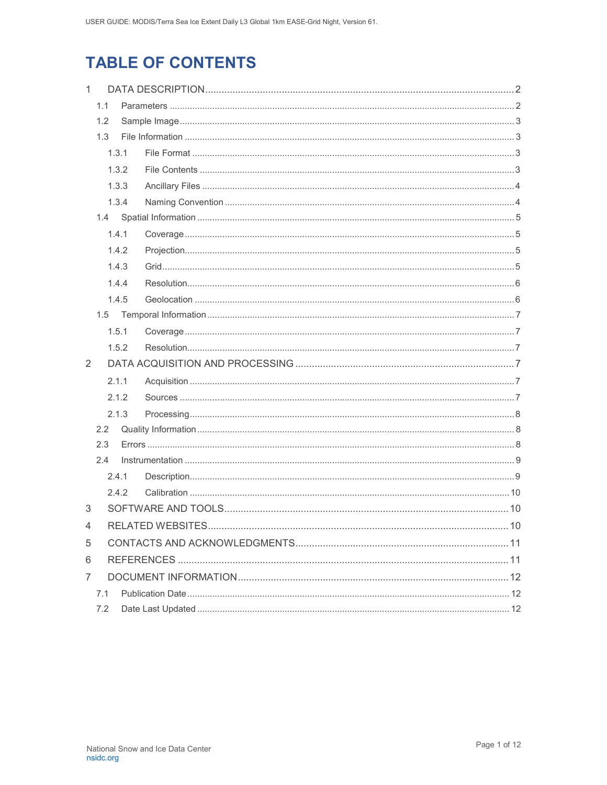# **TABLE OF CONTENTS**

| $\mathbf{1}$   |     |                         |  |  |  |
|----------------|-----|-------------------------|--|--|--|
| 1.1            |     |                         |  |  |  |
|                | 1.2 |                         |  |  |  |
|                | 1.3 |                         |  |  |  |
|                |     | 1.3.1                   |  |  |  |
|                |     | 1.3.2                   |  |  |  |
|                |     | 1.3.3                   |  |  |  |
|                |     | 1.3.4                   |  |  |  |
|                |     |                         |  |  |  |
|                |     | 1.4.1                   |  |  |  |
|                |     | 1.4.2                   |  |  |  |
|                |     | 1.4.3                   |  |  |  |
|                |     | 1.4.4                   |  |  |  |
|                |     | 1.4.5                   |  |  |  |
|                |     |                         |  |  |  |
|                |     | 1.5.1                   |  |  |  |
|                |     | 1.5.2                   |  |  |  |
| 2              |     |                         |  |  |  |
|                |     | 2.1.1                   |  |  |  |
|                |     | 2.1.2                   |  |  |  |
|                |     | 2.1.3                   |  |  |  |
|                | 2.2 |                         |  |  |  |
|                | 2.3 |                         |  |  |  |
|                | 2.4 |                         |  |  |  |
|                |     | 2.4.1                   |  |  |  |
|                |     | 2.4.2                   |  |  |  |
| 3              |     |                         |  |  |  |
| $\overline{4}$ |     | RELATED WEBSITES<br>10. |  |  |  |
| 5              |     |                         |  |  |  |
| 6              |     |                         |  |  |  |
| 7              |     |                         |  |  |  |
|                | 7.1 |                         |  |  |  |
|                | 7.2 |                         |  |  |  |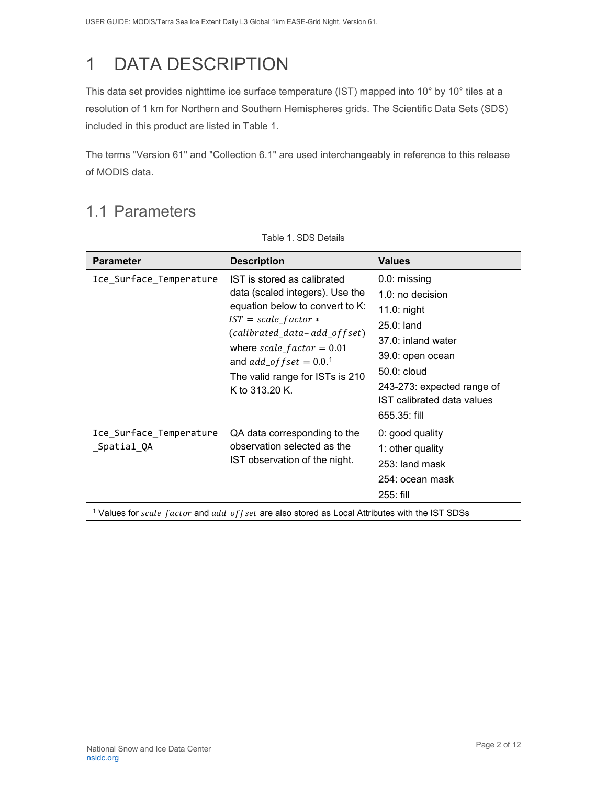# <span id="page-2-0"></span>1 DATA DESCRIPTION

This data set provides nighttime ice surface temperature (IST) mapped into 10° by 10° tiles at a resolution of 1 km for Northern and Southern Hemispheres grids. The Scientific Data Sets (SDS) included in this product are listed in Table 1.

The terms "Version 61" and "Collection 6.1" are used interchangeably in reference to this release of MODIS data.

### <span id="page-2-1"></span>1.1 Parameters

| <b>Parameter</b>                       | <b>Description</b>                                                                                                                                                                                                                                                                        | <b>Values</b>                                                                                                                                                                                        |
|----------------------------------------|-------------------------------------------------------------------------------------------------------------------------------------------------------------------------------------------------------------------------------------------------------------------------------------------|------------------------------------------------------------------------------------------------------------------------------------------------------------------------------------------------------|
| Ice_Surface_Temperature                | IST is stored as calibrated<br>data (scaled integers). Use the<br>equation below to convert to K:<br>$IST = scale_factor *$<br>(calibrated_data-add_offset)<br>where $scale_factor = 0.01$<br>and $add\_offset = 0.0$ . <sup>1</sup><br>The valid range for ISTs is 210<br>K to 313.20 K. | 0.0: missing<br>1.0: no decision<br>11.0: night<br>$25.0:$ land<br>37.0: inland water<br>39.0: open ocean<br>50.0: cloud<br>243-273: expected range of<br>IST calibrated data values<br>655.35: fill |
| Ice_Surface_Temperature<br>_Spatial_QA | QA data corresponding to the<br>observation selected as the<br>IST observation of the night.<br><sup>1</sup> Values for scale_factor and add_of fset are also stored as Local Attributes with the IST SDSs                                                                                | 0: good quality<br>1: other quality<br>253: land mask<br>254: ocean mask<br>$255:$ fill                                                                                                              |

Table 1. SDS Details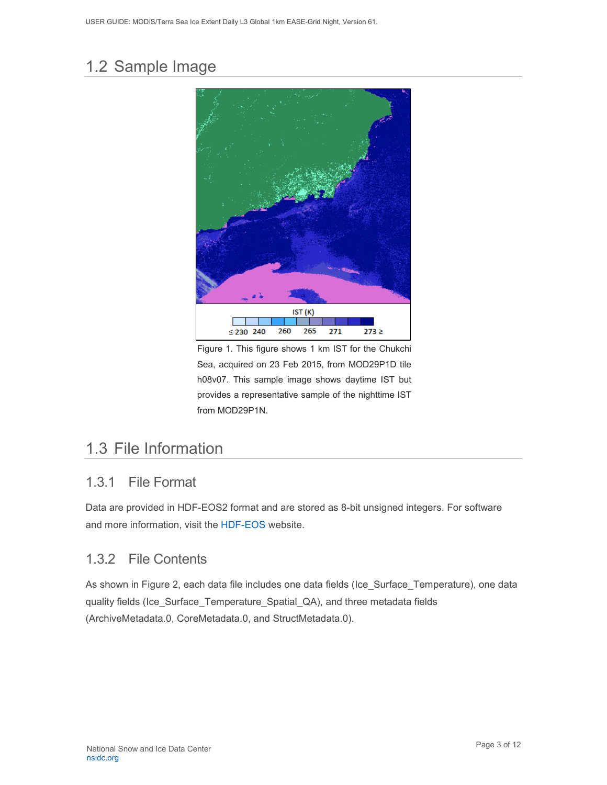## <span id="page-3-0"></span>1.2 Sample Image



Figure 1. This figure shows 1 km IST for the Chukchi Sea, acquired on 23 Feb 2015, from MOD29P1D tile h08v07. This sample image shows daytime IST but provides a representative sample of the nighttime IST from MOD29P1N.

### <span id="page-3-1"></span>1.3 File Information

#### <span id="page-3-2"></span>1.3.1 File Format

Data are provided in HDF-EOS2 format and are stored as 8-bit unsigned integers. For software and more information, visit the [HDF-EOS](https://portal.hdfgroup.org/display/support) website.

#### <span id="page-3-3"></span>1.3.2 File Contents

As shown in Figure 2, each data file includes one data fields (Ice\_Surface\_Temperature), one data quality fields (Ice\_Surface\_Temperature\_Spatial\_QA), and three metadata fields (ArchiveMetadata.0, CoreMetadata.0, and StructMetadata.0).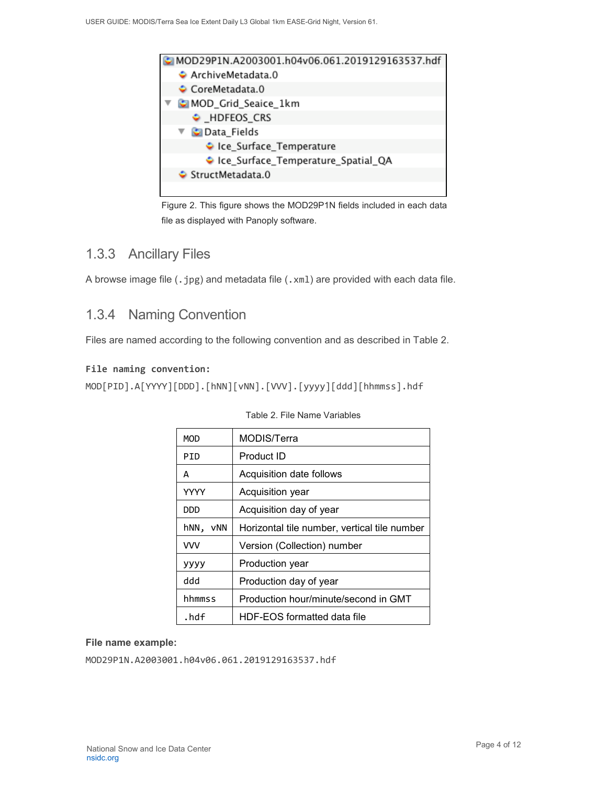

Figure 2. This figure shows the MOD29P1N fields included in each data file as displayed with Panoply software.

#### <span id="page-4-0"></span>1.3.3 Ancillary Files

A browse image file (.jpg) and metadata file (.xml) are provided with each data file.

#### <span id="page-4-1"></span>1.3.4 Naming Convention

Files are named according to the following convention and as described in Table 2.

#### **File naming convention:**

```
MOD[PID].A[YYYY][DDD].[hNN][vNN].[VVV].[yyyy][ddd][hhmmss].hdf
```

| MOD         | MODIS/Terra                                  |  |  |
|-------------|----------------------------------------------|--|--|
| PID         | Product ID                                   |  |  |
| А           | Acquisition date follows                     |  |  |
| <b>YYYY</b> | Acquisition year                             |  |  |
| DDD         | Acquisition day of year                      |  |  |
| hNN,<br>vNN | Horizontal tile number, vertical tile number |  |  |
| <b>VVV</b>  | Version (Collection) number                  |  |  |
| уууу        | Production year                              |  |  |
| ddd         | Production day of year                       |  |  |
| hhmmss      | Production hour/minute/second in GMT         |  |  |
| .hdf        | HDF-EOS formatted data file                  |  |  |

#### Table 2. File Name Variables

#### **File name example:**

MOD29P1N.A2003001.h04v06.061.2019129163537.hdf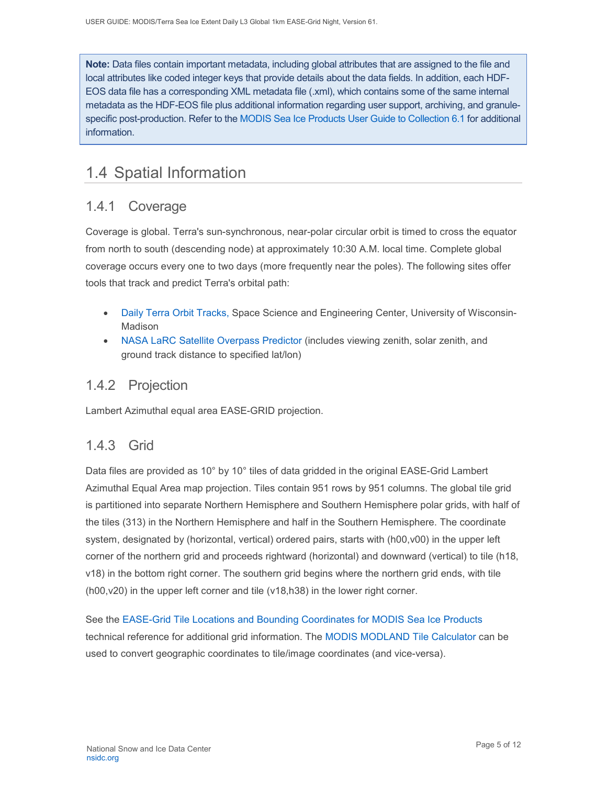**Note:** Data files contain important metadata, including global attributes that are assigned to the file and local attributes like coded integer keys that provide details about the data fields. In addition, each HDF-EOS data file has a corresponding XML metadata file (.xml), which contains some of the same internal metadata as the HDF-EOS file plus additional information regarding user support, archiving, and granulespecific post-production. Refer to the [MODIS Sea Ice Products User Guide to Collection 6.1](https://nsidc.org/sites/nsidc.org/files/technical-references/MOD29_C61_UserGuide.pdf) for additional information.

### <span id="page-5-0"></span>1.4 Spatial Information

### <span id="page-5-1"></span>1.4.1 Coverage

Coverage is global. Terra's sun-synchronous, near-polar circular orbit is timed to cross the equator from north to south (descending node) at approximately 10:30 A.M. local time. Complete global coverage occurs every one to two days (more frequently near the poles). The following sites offer tools that track and predict Terra's orbital path:

- [Daily Terra Orbit Tracks,](http://www.ssec.wisc.edu/datacenter/terra/GLOBAL.html) Space Science and Engineering Center, University of Wisconsin-Madison
- [NASA LaRC Satellite Overpass Predictor](https://cloudsway2.larc.nasa.gov/cgi-bin/predict/predict.cgi) (includes viewing zenith, solar zenith, and ground track distance to specified lat/lon)

### <span id="page-5-2"></span>1.4.2 Projection

Lambert Azimuthal equal area EASE-GRID projection.

#### <span id="page-5-3"></span>1.4.3 Grid

Data files are provided as 10° by 10° tiles of data gridded in the original EASE-Grid Lambert Azimuthal Equal Area map projection. Tiles contain 951 rows by 951 columns. The global tile grid is partitioned into separate Northern Hemisphere and Southern Hemisphere polar grids, with half of the tiles (313) in the Northern Hemisphere and half in the Southern Hemisphere. The coordinate system, designated by (horizontal, vertical) ordered pairs, starts with (h00,v00) in the upper left corner of the northern grid and proceeds rightward (horizontal) and downward (vertical) to tile (h18, v18) in the bottom right corner. The southern grid begins where the northern grid ends, with tile (h00,v20) in the upper left corner and tile (v18,h38) in the lower right corner.

See the [EASE-Grid Tile Locations and Bounding Coordinates for MODIS Sea Ice Products](https://nsidc.org/sites/nsidc.org/files/technical-references/EASE-Grid-Tile-Locations-Bounding-Coordinates-MODIS-Sea-Ice.pdf) technical reference for additional grid information. The [MODIS MODLAND Tile Calculator](http://landweb.nascom.nasa.gov/cgi-bin/developer/tilemap.cgi) can be used to convert geographic coordinates to tile/image coordinates (and vice-versa).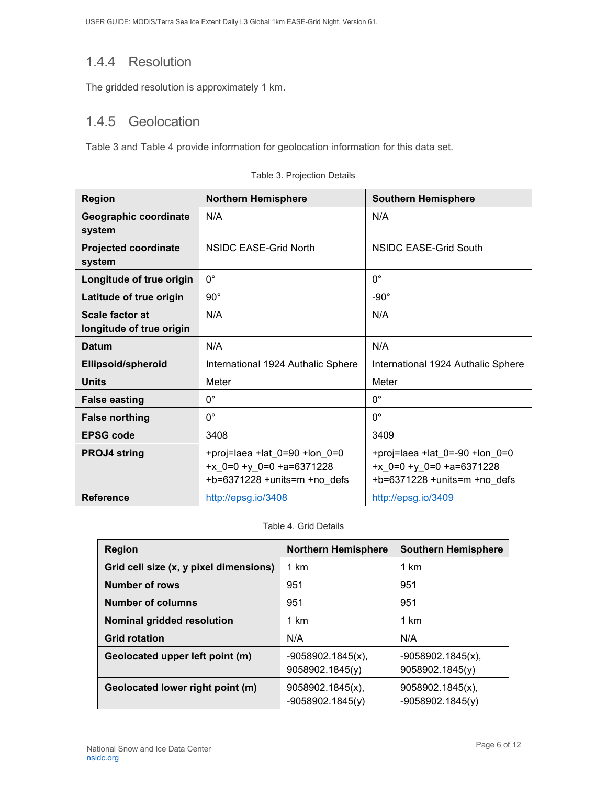### <span id="page-6-0"></span>1.4.4 Resolution

The gridded resolution is approximately 1 km.

### <span id="page-6-1"></span>1.4.5 Geolocation

Table 3 and Table 4 provide information for geolocation information for this data set.

| <b>Region</b>                               | <b>Northern Hemisphere</b>                                                                          | <b>Southern Hemisphere</b>                                                                           |
|---------------------------------------------|-----------------------------------------------------------------------------------------------------|------------------------------------------------------------------------------------------------------|
| Geographic coordinate<br>system             | N/A                                                                                                 | N/A                                                                                                  |
| <b>Projected coordinate</b><br>system       | NSIDC EASE-Grid North                                                                               | NSIDC EASE-Grid South                                                                                |
| Longitude of true origin                    | $0^{\circ}$                                                                                         | $0^{\circ}$                                                                                          |
| Latitude of true origin                     | $90^{\circ}$                                                                                        | $-90^\circ$                                                                                          |
| Scale factor at<br>longitude of true origin | N/A                                                                                                 | N/A                                                                                                  |
| <b>Datum</b>                                | N/A                                                                                                 | N/A                                                                                                  |
| <b>Ellipsoid/spheroid</b>                   | International 1924 Authalic Sphere                                                                  | International 1924 Authalic Sphere                                                                   |
| <b>Units</b>                                | Meter                                                                                               | Meter                                                                                                |
| <b>False easting</b>                        | $0^{\circ}$                                                                                         | $0^{\circ}$                                                                                          |
| <b>False northing</b>                       | $0^{\circ}$                                                                                         | $0^{\circ}$                                                                                          |
| <b>EPSG code</b>                            | 3408                                                                                                | 3409                                                                                                 |
| <b>PROJ4 string</b>                         | +proj=laea +lat_0=90 +lon_0=0<br>+ $x$ 0=0 + $y$ 0=0 +a=6371228<br>$+b=6371228 + units=m + no$ defs | +proj=laea +lat_0=-90 +lon_0=0<br>+ $x$ 0=0 + $y$ 0=0 +a=6371228<br>$+b=6371228 + units=m + no$ defs |
| <b>Reference</b>                            | http://epsg.io/3408                                                                                 | http://epsg.io/3409                                                                                  |

|  |  | Table 3. Projection Details |
|--|--|-----------------------------|
|  |  |                             |

Table 4. Grid Details

| <b>Region</b>                          | <b>Northern Hemisphere</b>              | <b>Southern Hemisphere</b>              |
|----------------------------------------|-----------------------------------------|-----------------------------------------|
| Grid cell size (x, y pixel dimensions) | 1 km                                    | 1 km                                    |
| <b>Number of rows</b>                  | 951                                     | 951                                     |
| <b>Number of columns</b>               | 951                                     | 951                                     |
| Nominal gridded resolution             | 1 km                                    | 1 km                                    |
| <b>Grid rotation</b>                   | N/A                                     | N/A                                     |
| Geolocated upper left point (m)        | $-9058902.1845(x)$ ,<br>9058902.1845(y) | $-9058902.1845(x)$ ,<br>9058902.1845(y) |
| Geolocated lower right point (m)       | 9058902.1845(x),<br>$-9058902.1845(y)$  | 9058902.1845(x),<br>$-9058902.1845(y)$  |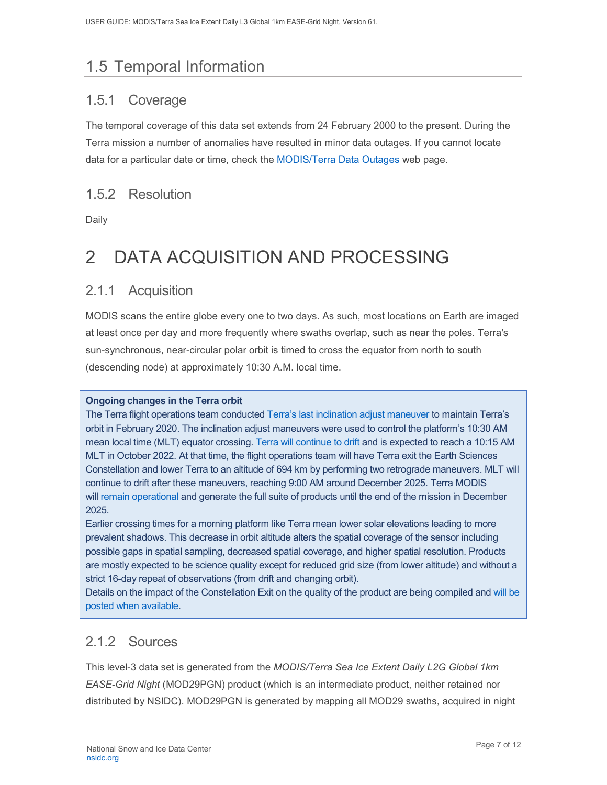# <span id="page-7-0"></span>1.5 Temporal Information

### <span id="page-7-1"></span>1.5.1 Coverage

The temporal coverage of this data set extends from 24 February 2000 to the present. During the Terra mission a number of anomalies have resulted in minor data outages. If you cannot locate data for a particular date or time, check the [MODIS/Terra Data Outages](http://modaps.nascom.nasa.gov/services/production/outages_terra.html) web page.

#### <span id="page-7-2"></span>1.5.2 Resolution

Daily

# <span id="page-7-3"></span>2 DATA ACQUISITION AND PROCESSING

#### <span id="page-7-4"></span>2.1.1 Acquisition

MODIS scans the entire globe every one to two days. As such, most locations on Earth are imaged at least once per day and more frequently where swaths overlap, such as near the poles. Terra's sun-synchronous, near-circular polar orbit is timed to cross the equator from north to south (descending node) at approximately 10:30 A.M. local time.

#### **Ongoing changes in the Terra orbit**

The Terra flight operations team conducted [Terra's last inclination adjust maneuver](https://terra.nasa.gov/about/terra-orbital-drift) to maintain Terra's orbit in February 2020. The inclination adjust maneuvers were used to control the platform's 10:30 AM mean local time (MLT) equator crossing. [Terra will continue to drift](https://modis.gsfc.nasa.gov/news/individual.php?news_id=100378) and is expected to reach a 10:15 AM MLT in October 2022. At that time, the flight operations team will have Terra exit the Earth Sciences Constellation and lower Terra to an altitude of 694 km by performing two retrograde maneuvers. MLT will continue to drift after these maneuvers, reaching 9:00 AM around December 2025. Terra MODIS will [remain operational](https://landweb.modaps.eosdis.nasa.gov/cgi-bin/QA_WWW/displayCase.cgi?esdt=MOD&caseNum=PM_MOD_21264&caseLocation=cases_data&type=C6&_ga=2.237971648.1728476934.1634939670-1813231108.1634939670) and generate the full suite of products until the end of the mission in December 2025.

Earlier crossing times for a morning platform like Terra mean lower solar elevations leading to more prevalent shadows. This decrease in orbit altitude alters the spatial coverage of the sensor including possible gaps in spatial sampling, decreased spatial coverage, and higher spatial resolution. Products are mostly expected to be science quality except for reduced grid size (from lower altitude) and without a strict 16-day repeat of observations (from drift and changing orbit).

Details on the impact of the Constellation Exit on the quality of the product are being compiled and [will be](https://landweb.modaps.eosdis.nasa.gov/cgi-bin/QS/new/index.cgi)  [posted when available.](https://landweb.modaps.eosdis.nasa.gov/cgi-bin/QS/new/index.cgi)

### <span id="page-7-5"></span>2.1.2 Sources

This level-3 data set is generated from the *MODIS/Terra Sea Ice Extent Daily L2G Global 1km EASE-Grid Night* (MOD29PGN) product (which is an intermediate product, neither retained nor distributed by NSIDC). MOD29PGN is generated by mapping all MOD29 swaths, acquired in night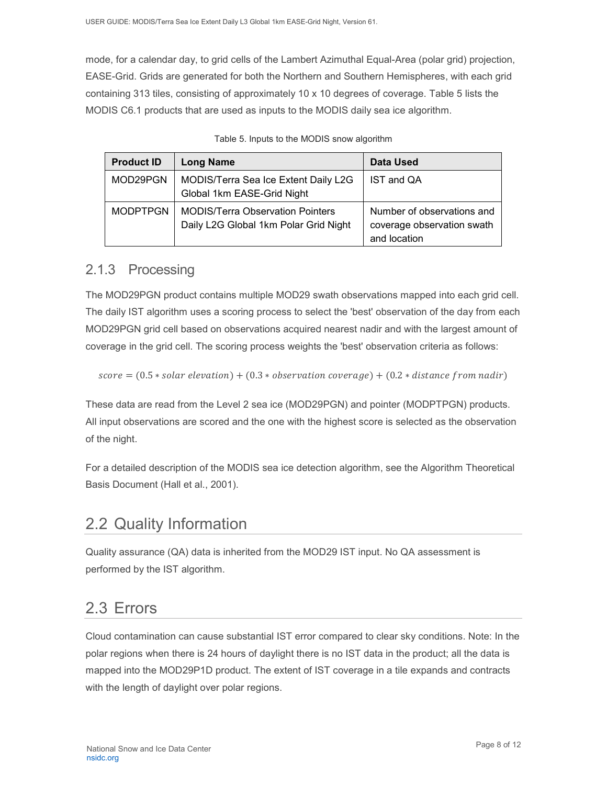mode, for a calendar day, to grid cells of the Lambert Azimuthal Equal-Area (polar grid) projection, EASE-Grid. Grids are generated for both the Northern and Southern Hemispheres, with each grid containing 313 tiles, consisting of approximately 10 x 10 degrees of coverage. Table 5 lists the MODIS C6.1 products that are used as inputs to the MODIS daily sea ice algorithm.

| <b>Product ID</b> | <b>Long Name</b>                                                                 | Data Used                                                                |
|-------------------|----------------------------------------------------------------------------------|--------------------------------------------------------------------------|
| MOD29PGN          | MODIS/Terra Sea Ice Extent Daily L2G<br>Global 1km EASE-Grid Night               | IST and QA                                                               |
| <b>MODPTPGN</b>   | <b>MODIS/Terra Observation Pointers</b><br>Daily L2G Global 1km Polar Grid Night | Number of observations and<br>coverage observation swath<br>and location |

|  |  |  |  |  | Table 5. Inputs to the MODIS snow algorithm |
|--|--|--|--|--|---------------------------------------------|
|--|--|--|--|--|---------------------------------------------|

#### <span id="page-8-0"></span>2.1.3 Processing

The MOD29PGN product contains multiple MOD29 swath observations mapped into each grid cell. The daily IST algorithm uses a scoring process to select the 'best' observation of the day from each MOD29PGN grid cell based on observations acquired nearest nadir and with the largest amount of coverage in the grid cell. The scoring process weights the 'best' observation criteria as follows:

```
score = (0.5 * solar elevation) + (0.3 * observation coverage) + (0.2 * distance from nadir)
```
These data are read from the Level 2 sea ice (MOD29PGN) and pointer (MODPTPGN) products. All input observations are scored and the one with the highest score is selected as the observation of the night.

For a detailed description of the MODIS sea ice detection algorithm, see the Algorithm Theoretical Basis Document (Hall et al., 2001).

### <span id="page-8-1"></span>2.2 Quality Information

Quality assurance (QA) data is inherited from the MOD29 IST input. No QA assessment is performed by the IST algorithm.

## <span id="page-8-2"></span>2.3 Errors

Cloud contamination can cause substantial IST error compared to clear sky conditions. Note: In the polar regions when there is 24 hours of daylight there is no IST data in the product; all the data is mapped into the MOD29P1D product. The extent of IST coverage in a tile expands and contracts with the length of daylight over polar regions.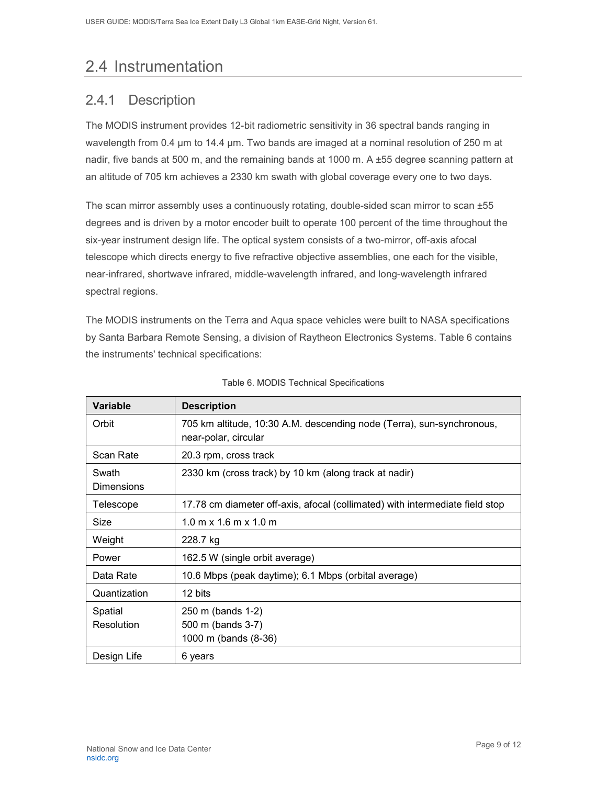## <span id="page-9-0"></span>2.4 Instrumentation

### <span id="page-9-1"></span>2.4.1 Description

The MODIS instrument provides 12-bit radiometric sensitivity in 36 spectral bands ranging in wavelength from 0.4 µm to 14.4 µm. Two bands are imaged at a nominal resolution of 250 m at nadir, five bands at 500 m, and the remaining bands at 1000 m. A ±55 degree scanning pattern at an altitude of 705 km achieves a 2330 km swath with global coverage every one to two days.

The scan mirror assembly uses a continuously rotating, double-sided scan mirror to scan ±55 degrees and is driven by a motor encoder built to operate 100 percent of the time throughout the six-year instrument design life. The optical system consists of a two-mirror, off-axis afocal telescope which directs energy to five refractive objective assemblies, one each for the visible, near-infrared, shortwave infrared, middle-wavelength infrared, and long-wavelength infrared spectral regions.

The MODIS instruments on the Terra and Aqua space vehicles were built to NASA specifications by Santa Barbara Remote Sensing, a division of Raytheon Electronics Systems. Table 6 contains the instruments' technical specifications:

| <b>Variable</b>            | <b>Description</b>                                                                            |  |  |
|----------------------------|-----------------------------------------------------------------------------------------------|--|--|
| Orbit                      | 705 km altitude, 10:30 A.M. descending node (Terra), sun-synchronous,<br>near-polar, circular |  |  |
| Scan Rate                  | 20.3 rpm, cross track                                                                         |  |  |
| Swath<br><b>Dimensions</b> | 2330 km (cross track) by 10 km (along track at nadir)                                         |  |  |
| Telescope                  | 17.78 cm diameter off-axis, afocal (collimated) with intermediate field stop                  |  |  |
| Size                       | $1.0 \text{ m} \times 1.6 \text{ m} \times 1.0 \text{ m}$                                     |  |  |
| Weight                     | 228.7 kg                                                                                      |  |  |
| Power                      | 162.5 W (single orbit average)                                                                |  |  |
| Data Rate                  | 10.6 Mbps (peak daytime); 6.1 Mbps (orbital average)                                          |  |  |
| Quantization               | 12 bits                                                                                       |  |  |
| Spatial<br>Resolution      | 250 m (bands 1-2)<br>500 m (bands 3-7)<br>1000 m (bands (8-36)                                |  |  |
| Design Life                | 6 years                                                                                       |  |  |

|  |  |  | Table 6. MODIS Technical Specifications |
|--|--|--|-----------------------------------------|
|--|--|--|-----------------------------------------|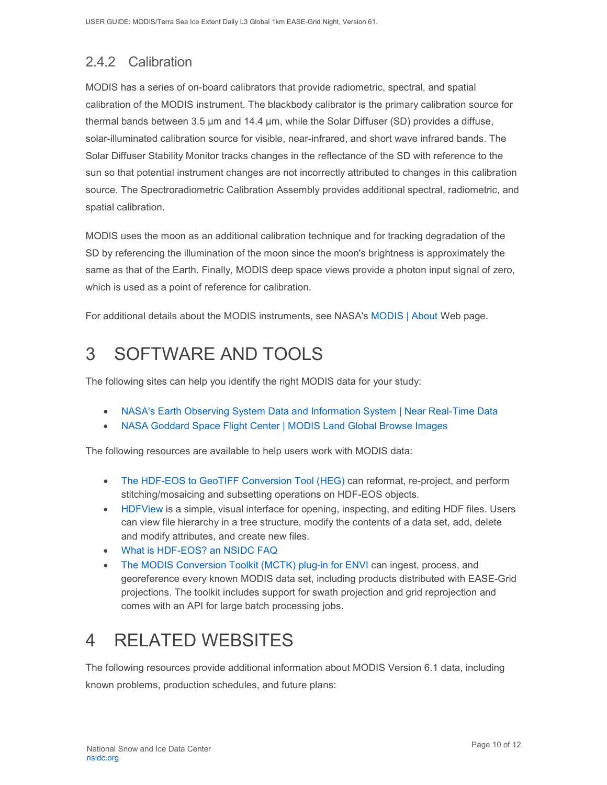## <span id="page-10-0"></span>2.4.2 Calibration

MODIS has a series of on-board calibrators that provide radiometric, spectral, and spatial calibration of the MODIS instrument. The blackbody calibrator is the primary calibration source for thermal bands between 3.5 µm and 14.4 µm, while the Solar Diffuser (SD) provides a diffuse, solar-illuminated calibration source for visible, near-infrared, and short wave infrared bands. The Solar Diffuser Stability Monitor tracks changes in the reflectance of the SD with reference to the sun so that potential instrument changes are not incorrectly attributed to changes in this calibration source. The Spectroradiometric Calibration Assembly provides additional spectral, radiometric, and spatial calibration.

MODIS uses the moon as an additional calibration technique and for tracking degradation of the SD by referencing the illumination of the moon since the moon's brightness is approximately the same as that of the Earth. Finally, MODIS deep space views provide a photon input signal of zero, which is used as a point of reference for calibration.

For additional details about the MODIS instruments, see NASA's [MODIS | About](http://modis.gsfc.nasa.gov/about/) Web page.

# <span id="page-10-1"></span>3 SOFTWARE AND TOOLS

The following sites can help you identify the right MODIS data for your study:

- [NASA's Earth Observing System Data and Information System | Near Real-Time Data](http://earthdata.nasa.gov/data/near-real-time-data/rapid-response)
- [NASA Goddard Space Flight Center | MODIS Land Global Browse Images](https://landweb.modaps.eosdis.nasa.gov/cgi-bin/browse/browseMODIS.cgi)

The following resources are available to help users work with MODIS data:

- [The HDF-EOS to GeoTIFF Conversion Tool \(HEG\)](http://newsroom.gsfc.nasa.gov/sdptoolkit/HEG/HEGHome.html) can reformat, re-project, and perform stitching/mosaicing and subsetting operations on HDF-EOS objects.
- [HDFView](http://www.hdfgroup.com/hdf-java-html/hdfview/) is a simple, visual interface for opening, inspecting, and editing HDF files. Users can view file hierarchy in a tree structure, modify the contents of a data set, add, delete and modify attributes, and create new files.
- [What is HDF-EOS? an NSIDC FAQ](https://nsidc.org/support/faq/what-hdf-eos)
- [The MODIS Conversion Toolkit \(MCTK\) plug-in for ENVI](https://github.com/dawhite/MCTK) can ingest, process, and georeference every known MODIS data set, including products distributed with EASE-Grid projections. The toolkit includes support for swath projection and grid reprojection and comes with an API for large batch processing jobs.

# <span id="page-10-2"></span>4 RELATED WEBSITES

The following resources provide additional information about MODIS Version 6.1 data, including known problems, production schedules, and future plans: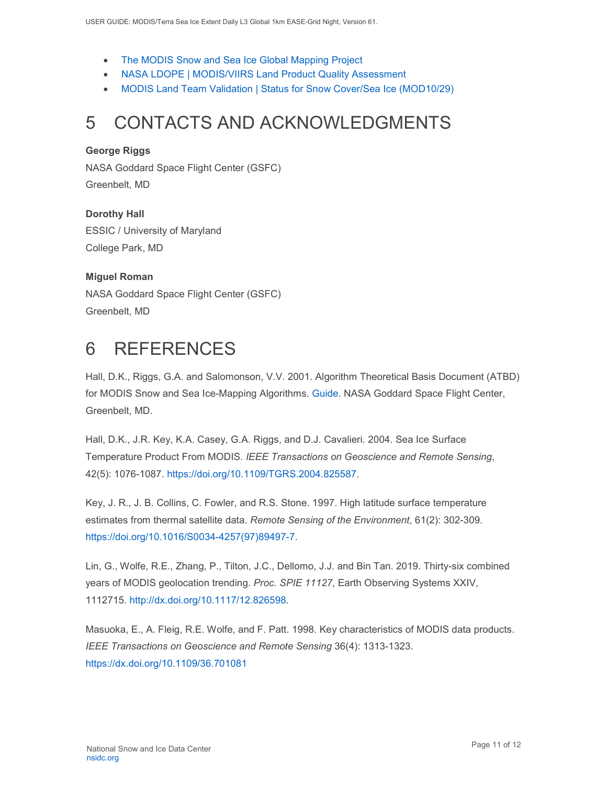- [The MODIS Snow and Sea Ice Global Mapping Project](http://modis-snow-ice.gsfc.nasa.gov/)
- [NASA LDOPE | MODIS/VIIRS Land Product Quality Assessment](https://landweb.modaps.eosdis.nasa.gov/cgi-bin/QS/new/index.cgi)
- [MODIS Land Team Validation | Status for Snow Cover/Sea Ice \(MOD10/29\)](https://modis-land.gsfc.nasa.gov/ValStatus.php?ProductID=MOD10/29)

## <span id="page-11-0"></span>5 CONTACTS AND ACKNOWLEDGMENTS

#### **George Riggs**

NASA Goddard Space Flight Center (GSFC) Greenbelt, MD

**Dorothy Hall**  ESSIC / University of Maryland College Park, MD

#### **Miguel Roman**

NASA Goddard Space Flight Center (GSFC) Greenbelt, MD

## <span id="page-11-1"></span>6 REFERENCES

Hall, D.K., Riggs, G.A. and Salomonson, V.V. 2001. Algorithm Theoretical Basis Document (ATBD) for MODIS Snow and Sea Ice-Mapping Algorithms. [Guide.](https://modis-snow-ice.gsfc.nasa.gov/?c=atbd) NASA Goddard Space Flight Center, Greenbelt, MD.

Hall, D.K., J.R. Key, K.A. Casey, G.A. Riggs, and D.J. Cavalieri. 2004. Sea Ice Surface Temperature Product From MODIS. *IEEE Transactions on Geoscience and Remote Sensing*, 42(5): 1076-1087. [https://doi.org/10.1109/TGRS.2004.825587.](https://doi.org/10.1109/TGRS.2004.825587)

Key, J. R., J. B. Collins, C. Fowler, and R.S. Stone. 1997. High latitude surface temperature estimates from thermal satellite data. *Remote Sensing of the Environment*, 61(2): 302-309. [https://doi.org/10.1016/S0034-4257\(97\)89497-7.](https://doi.org/10.1016/S0034-4257(97)89497-7)

Lin, G., Wolfe, R.E., Zhang, P., Tilton, J.C., Dellomo, J.J. and Bin Tan. 2019. Thirty-six combined years of MODIS geolocation trending. *Proc. SPIE 11127*, Earth Observing Systems XXIV, 1112715. [http://dx.doi.org/10.1117/12.826598.](http://dx.doi.org/10.1117/12.826598)

Masuoka, E., A. Fleig, R.E. Wolfe, and F. Patt. 1998. Key characteristics of MODIS data products. *IEEE Transactions on Geoscience and Remote Sensing* 36(4): 1313-1323. <https://dx.doi.org/10.1109/36.701081>